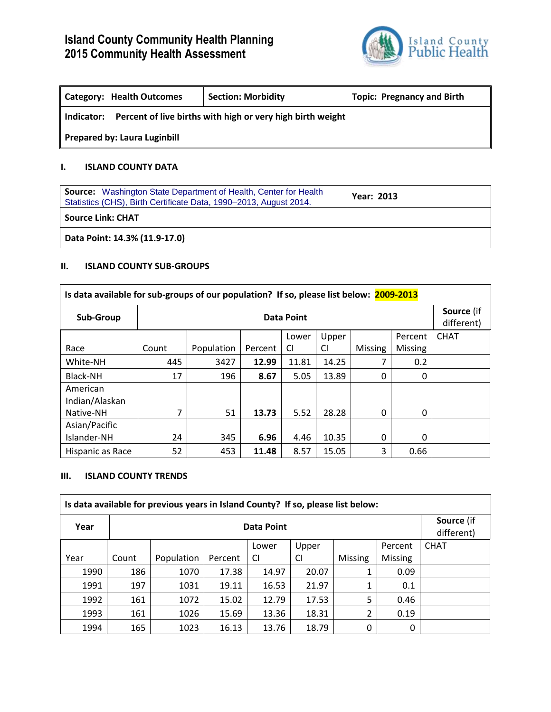

| <b>Category: Health Outcomes</b>                                         | <b>Section: Morbidity</b> | <b>Topic: Pregnancy and Birth</b> |  |  |  |  |
|--------------------------------------------------------------------------|---------------------------|-----------------------------------|--|--|--|--|
| Percent of live births with high or very high birth weight<br>Indicator: |                           |                                   |  |  |  |  |
| <b>Prepared by: Laura Luginbill</b>                                      |                           |                                   |  |  |  |  |

### **I. ISLAND COUNTY DATA**

| <b>Source:</b> Washington State Department of Health, Center for Health<br>Statistics (CHS), Birth Certificate Data, 1990–2013, August 2014. | <b>Year: 2013</b> |
|----------------------------------------------------------------------------------------------------------------------------------------------|-------------------|
| <b>Source Link: CHAT</b>                                                                                                                     |                   |
| Data Point: 14.3% (11.9-17.0)                                                                                                                |                   |

# **II. ISLAND COUNTY SUB-GROUPS**

| Is data available for sub-groups of our population? If so, please list below: 2009-2013 |            |            |         |           |           |                |                |                          |
|-----------------------------------------------------------------------------------------|------------|------------|---------|-----------|-----------|----------------|----------------|--------------------------|
| Sub-Group                                                                               | Data Point |            |         |           |           |                |                | Source (if<br>different) |
|                                                                                         |            |            |         | Lower     | Upper     |                | Percent        | <b>CHAT</b>              |
| Race                                                                                    | Count      | Population | Percent | <b>CI</b> | <b>CI</b> | <b>Missing</b> | <b>Missing</b> |                          |
| White-NH                                                                                | 445        | 3427       | 12.99   | 11.81     | 14.25     | 7              | 0.2            |                          |
| Black-NH                                                                                | 17         | 196        | 8.67    | 5.05      | 13.89     | 0              | 0              |                          |
| American                                                                                |            |            |         |           |           |                |                |                          |
| Indian/Alaskan                                                                          |            |            |         |           |           |                |                |                          |
| Native-NH                                                                               | 7          | 51         | 13.73   | 5.52      | 28.28     | 0              | 0              |                          |
| Asian/Pacific                                                                           |            |            |         |           |           |                |                |                          |
| Islander-NH                                                                             | 24         | 345        | 6.96    | 4.46      | 10.35     | 0              | 0              |                          |
| Hispanic as Race                                                                        | 52         | 453        | 11.48   | 8.57      | 15.05     | 3              | 0.66           |                          |

# **III. ISLAND COUNTY TRENDS**

| Is data available for previous years in Island County? If so, please list below: |            |            |         |       |       |                |                |                          |
|----------------------------------------------------------------------------------|------------|------------|---------|-------|-------|----------------|----------------|--------------------------|
| Year                                                                             | Data Point |            |         |       |       |                |                | Source (if<br>different) |
|                                                                                  |            |            |         | Lower | Upper |                | Percent        | <b>CHAT</b>              |
| Year                                                                             | Count      | Population | Percent | CI    | CI    | <b>Missing</b> | <b>Missing</b> |                          |
| 1990                                                                             | 186        | 1070       | 17.38   | 14.97 | 20.07 |                | 0.09           |                          |
| 1991                                                                             | 197        | 1031       | 19.11   | 16.53 | 21.97 |                | 0.1            |                          |
| 1992                                                                             | 161        | 1072       | 15.02   | 12.79 | 17.53 | 5              | 0.46           |                          |
| 1993                                                                             | 161        | 1026       | 15.69   | 13.36 | 18.31 | 2              | 0.19           |                          |
| 1994                                                                             | 165        | 1023       | 16.13   | 13.76 | 18.79 | 0              | 0              |                          |